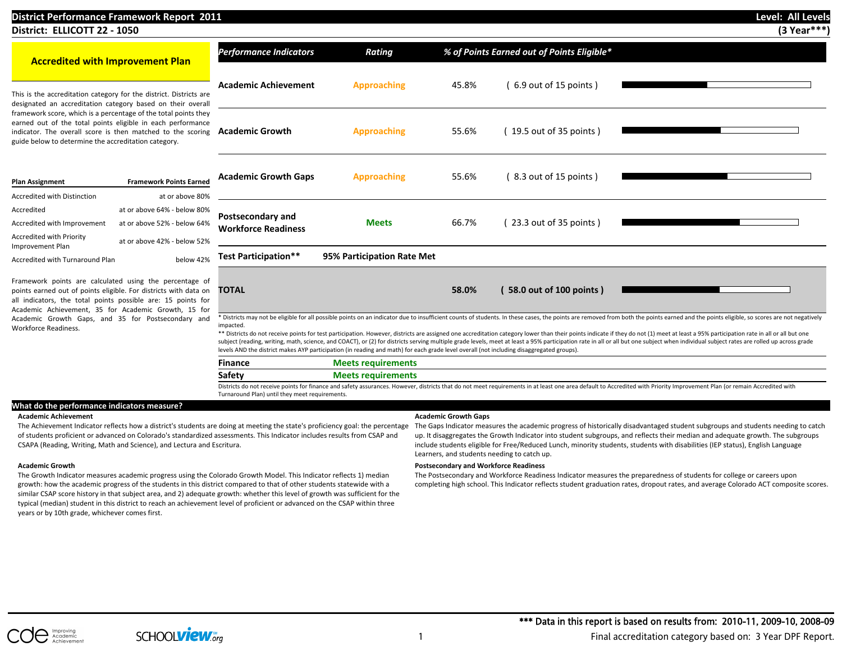# **District Performance Framework Report 2011 Level: All Levels District: ELLICOTT 22 - 1050 (3 Year\*\*\*) Accredited with Improvement Plan** This is the accreditation category for the district. Districts are designated an accreditation category based on their overall framework score, which is a percentage of the total points they earned out of the total points eligible in each performance indicator. The overall score is then matched to the scoring guide below to determine the accreditation category. **Plan Assignment Framework Points Earned** Accredited with Distinction at or above 80% Accredited at or above 64% - below 80% Accredited with Improvement at or above 52% - below 64% Accredited with Priority Improvement Plan at or above 42% - below 52% Accredited with Turnaround Plan below 42% Framework points are calculated using the percentage of points earned out of points eligible. For districts with data on all indicators, the total points possible are: 15 points for Academic Achievement, 35 for Academic Growth, 15 for *Performance Indicators Rating % of Points Earned out of Points Eligible\** **Academic Achievement Approaching** 45.8% ( 6.9 out of 15 points ) **Academic Growth Approaching** 55.6% ( 19.5 out of 35 points ) **Academic Growth Gaps Approaching** 55.6% ( 8.3 out of 15 points ) **Postsecondary and Meets** 66.7% (23.3 out of 35 points )<br> **Workforce Readiness Test Participation\*\* 95% Participation Rate Met TOTAL 58.0% ( 58.0 out of 100 points )**

\* Districts may not be eligible for all possible points on an indicator due to insufficient counts of students. In these cases, the points are removed from both the points earned and the points eligible, so scores are not impacted.

\*\* Districts do not receive points for test participation. However, districts are assigned one accreditation category lower than their points indicate if they do not (1) meet at least a 95% participation rate in all or all subject (reading, writing, math, science, and COACT), or (2) for districts serving multiple grade levels, meet at least a 95% participation rate in all or all but one subject when individual subject rates are rolled up acr levels AND the district makes AYP participation (in reading and math) for each grade level overall (not including disaggregated groups).

| Finance | <b>Meets requirements</b>                                                                                                                                                                                             |
|---------|-----------------------------------------------------------------------------------------------------------------------------------------------------------------------------------------------------------------------|
| Safety  | <b>Meets requirements</b>                                                                                                                                                                                             |
|         | Districts do not resolve points for finance and safety assurances. However, districts that do not meet requirements in at least one area default to Accredited with Priority Improvement Plan for remain Accredited w |

Districts do not receive points for finance and safety assurances. However, districts that do not meet requirements in at least one area default to Accredited with Priority Improvement Plan (or remain Accredited with Turnaround Plan) until they meet requirements.

## **What do the performance indicators measure?**

Academic Growth Gaps, and 35 for Postsecondary and

### **Academic Achievement Academic Growth Gaps**

The Achievement Indicator reflects how a district's students are doing at meeting the state's proficiency goal: the percentage of students proficient or advanced on Colorado's standardized assessments. This Indicator includes results from CSAP and CSAPA (Reading, Writing, Math and Science), and Lectura and Escritura.

The Gaps Indicator measures the academic progress of historically disadvantaged student subgroups and students needing to catch up. It disaggregates the Growth Indicator into student subgroups, and reflects their median and adequate growth. The subgroups include students eligible for Free/Reduced Lunch, minority students, students with disabilities (IEP status), English Language Learners, and students needing to catch up.

Workforce Readiness.

The Growth Indicator measures academic progress using the Colorado Growth Model. This Indicator reflects 1) median growth: how the academic progress of the students in this district compared to that of other students statewide with a similar CSAP score history in that subject area, and 2) adequate growth: whether this level of growth was sufficient for the typical (median) student in this district to reach an achievement level of proficient or advanced on the CSAP within three years or by 10th grade, whichever comes first.

## **Academic Growth Postsecondary and Workforce Readiness**

The Postsecondary and Workforce Readiness Indicator measures the preparedness of students for college or careers upon completing high school. This Indicator reflects student graduation rates, dropout rates, and average Colorado ACT composite scores.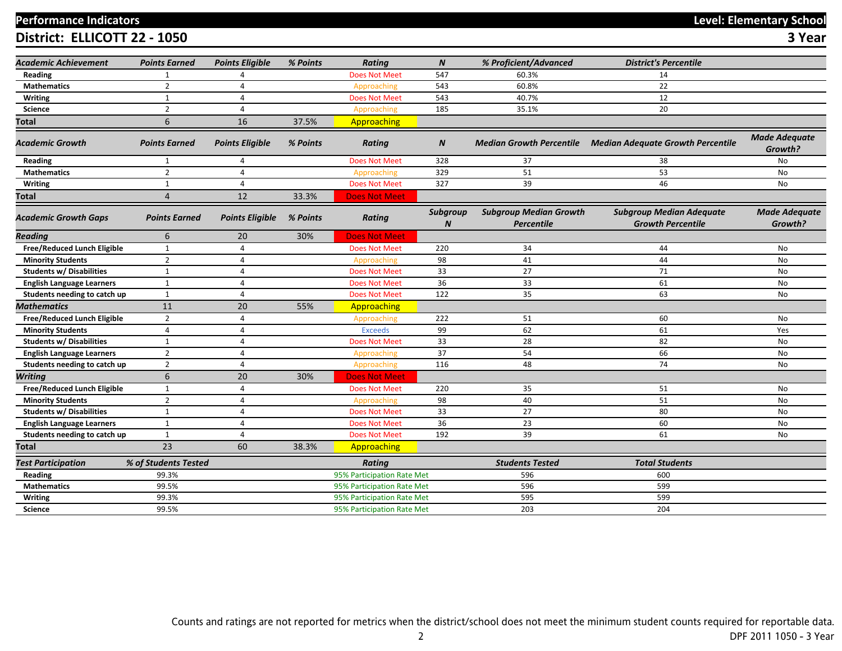# **Performance Indicators Level: Elementary School**

**District: ELLICOTT 22 - 1050 3** 

| ٧ | v | . .<br>v |  |
|---|---|----------|--|
|   |   |          |  |

| Academic Achievement             | <b>Points Earned</b> | <b>Points Eligible</b> | % Points | <b>Rating</b>              | $\boldsymbol{N}$ | % Proficient/Advanced                              | <b>District's Percentile</b>                                |                                 |
|----------------------------------|----------------------|------------------------|----------|----------------------------|------------------|----------------------------------------------------|-------------------------------------------------------------|---------------------------------|
| Reading                          |                      |                        |          | <b>Does Not Meet</b>       | 547              | 60.3%                                              | 14                                                          |                                 |
| <b>Mathematics</b>               | $\overline{2}$       | 4                      |          | Approaching                | 543              | 60.8%                                              | 22                                                          |                                 |
| Writing                          | $\mathbf{1}$         | 4                      |          | <b>Does Not Meet</b>       | 543              | 40.7%                                              | 12                                                          |                                 |
| <b>Science</b>                   | $\overline{2}$       | 4                      |          | Approaching                | 185              | 35.1%                                              | 20                                                          |                                 |
| Total                            | 6                    | 16                     | 37.5%    | Approaching                |                  |                                                    |                                                             |                                 |
| Academic Growth                  | <b>Points Earned</b> | <b>Points Eligible</b> | % Points | Rating                     | $\boldsymbol{N}$ | <b>Median Growth Percentile</b>                    | <b>Median Adequate Growth Percentile</b>                    | <b>Made Adequate</b><br>Growth? |
| Reading                          | $\mathbf{1}$         | 4                      |          | <b>Does Not Meet</b>       | 328              | 37                                                 | 38                                                          | No                              |
| <b>Mathematics</b>               | $\overline{2}$       | 4                      |          | Approaching                | 329              | 51                                                 | 53                                                          | No                              |
| <b>Writing</b>                   | $\mathbf{1}$         | 4                      |          | Does Not Meet              | 327              | 39                                                 | 46                                                          | No                              |
| Total                            | $\overline{4}$       | 12                     | 33.3%    | <b>Does Not Meet</b>       |                  |                                                    |                                                             |                                 |
| <b>Academic Growth Gaps</b>      | <b>Points Earned</b> | <b>Points Eligible</b> | % Points | Rating                     | Subgroup         | <b>Subgroup Median Growth</b><br><b>Percentile</b> | <b>Subgroup Median Adequate</b><br><b>Growth Percentile</b> | <b>Made Adequate</b><br>Growth? |
| Reading                          | 6                    | 20                     | 30%      | <b>Does Not Meet</b>       |                  |                                                    |                                                             |                                 |
| Free/Reduced Lunch Eligible      | $\mathbf{1}$         | 4                      |          | <b>Does Not Meet</b>       | 220              | 34                                                 | 44                                                          | No                              |
| <b>Minority Students</b>         | $\overline{2}$       | 4                      |          | Approaching                | 98               | 41                                                 | 44                                                          | No                              |
| <b>Students w/ Disabilities</b>  | $\mathbf{1}$         | 4                      |          | <b>Does Not Meet</b>       | 33               | 27                                                 | 71                                                          | No                              |
| <b>English Language Learners</b> | $\mathbf{1}$         | 4                      |          | <b>Does Not Meet</b>       | 36               | 33                                                 | 61                                                          | No                              |
| Students needing to catch up     | $\mathbf{1}$         | 4                      |          | <b>Does Not Meet</b>       | 122              | 35                                                 | 63                                                          | No                              |
| <b>Mathematics</b>               | 11                   | 20                     | 55%      | Approaching                |                  |                                                    |                                                             |                                 |
| Free/Reduced Lunch Eligible      | $\overline{2}$       | 4                      |          | Approaching                | 222              | 51                                                 | 60                                                          | No                              |
| <b>Minority Students</b>         | $\Delta$             | 4                      |          | <b>Exceeds</b>             | 99               | 62                                                 | 61                                                          | Yes                             |
| <b>Students w/ Disabilities</b>  | $\mathbf{1}$         | 4                      |          | <b>Does Not Meet</b>       | 33               | 28                                                 | 82                                                          | <b>No</b>                       |
| <b>English Language Learners</b> | $\overline{2}$       | 4                      |          | Approaching                | 37               | 54                                                 | 66                                                          | No                              |
| Students needing to catch up     | $\overline{2}$       | 4                      |          | Approaching                | 116              | 48                                                 | 74                                                          | No                              |
| <b>Writing</b>                   | 6                    | 20                     | 30%      | <b>Does Not Meet</b>       |                  |                                                    |                                                             |                                 |
| Free/Reduced Lunch Eligible      | $\mathbf{1}$         | 4                      |          | <b>Does Not Meet</b>       | 220              | 35                                                 | 51                                                          | No                              |
| <b>Minority Students</b>         | $\overline{2}$       | 4                      |          | Approaching                | 98               | 40                                                 | 51                                                          | No                              |
| <b>Students w/ Disabilities</b>  | 1                    | 4                      |          | <b>Does Not Meet</b>       | 33               | 27                                                 | 80                                                          | No                              |
| <b>English Language Learners</b> | 1                    | 4                      |          | <b>Does Not Meet</b>       | 36               | 23                                                 | 60                                                          | No                              |
| Students needing to catch up     | $\mathbf{1}$         | 4                      |          | <b>Does Not Meet</b>       | 192              | 39                                                 | 61                                                          | No                              |
| Total                            | 23                   | 60                     | 38.3%    | Approaching                |                  |                                                    |                                                             |                                 |
| <b>Test Participation</b>        | % of Students Tested |                        |          | Rating                     |                  | <b>Students Tested</b>                             | <b>Total Students</b>                                       |                                 |
| Reading                          | 99.3%                |                        |          | 95% Participation Rate Met |                  | 596                                                | 600                                                         |                                 |
| <b>Mathematics</b>               | 99.5%                |                        |          | 95% Participation Rate Met |                  | 596                                                | 599                                                         |                                 |
| Writing                          | 99.3%                |                        |          | 95% Participation Rate Met |                  | 595                                                | 599                                                         |                                 |
| Science                          | 99.5%                |                        |          | 95% Participation Rate Met |                  | 203                                                | 204                                                         |                                 |
|                                  |                      |                        |          |                            |                  |                                                    |                                                             |                                 |

Counts and ratings are not reported for metrics when the district/school does not meet the minimum student counts required for reportable data.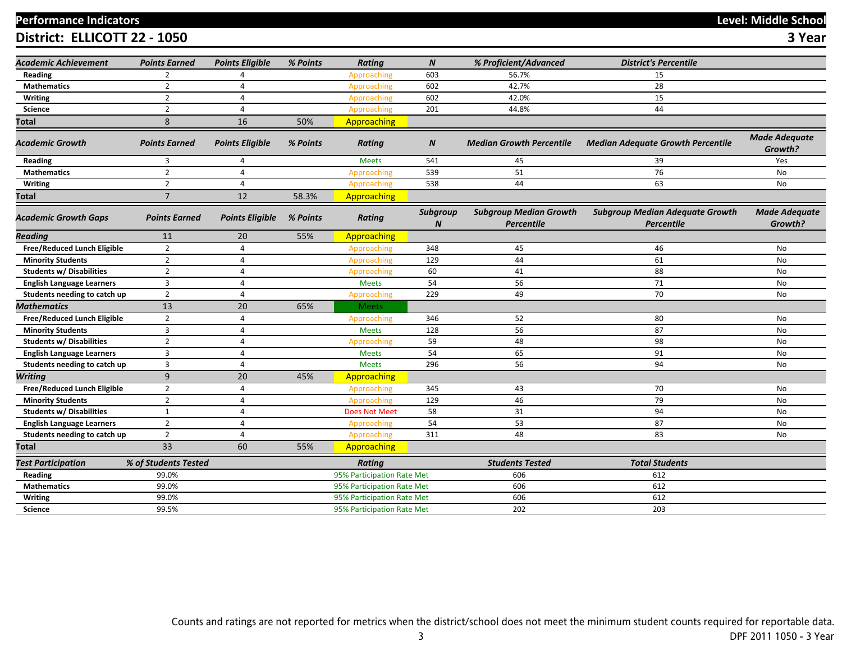# **Performance Indicators Level: Middle School**

**District: ELLICOTT 22 - 1050 3** 

| <b>Academic Achievement</b>      | <b>Points Earned</b> | <b>Points Eligible</b> | % Points | <b>Rating</b>              | $\boldsymbol{N}$ | % Proficient/Advanced                       | <b>District's Percentile</b>                                |                                 |
|----------------------------------|----------------------|------------------------|----------|----------------------------|------------------|---------------------------------------------|-------------------------------------------------------------|---------------------------------|
| Reading                          | $\overline{2}$       | 4                      |          | <b>Approaching</b>         | 603              | 56.7%                                       | 15                                                          |                                 |
| <b>Mathematics</b>               | $\overline{2}$       | $\overline{4}$         |          | Approaching                | 602              | 42.7%                                       | 28                                                          |                                 |
| Writing                          | $\overline{2}$       | $\overline{4}$         |          | Approaching                | 602              | 42.0%                                       | 15                                                          |                                 |
| <b>Science</b>                   | $\overline{2}$       | $\overline{4}$         |          | Approaching                | 201              | 44.8%                                       | 44                                                          |                                 |
| Total                            | 8                    | 16                     | 50%      | Approaching                |                  |                                             |                                                             |                                 |
| Academic Growth                  | <b>Points Earned</b> | <b>Points Eligible</b> | % Points | <b>Rating</b>              | $\boldsymbol{N}$ | <b>Median Growth Percentile</b>             | <b>Median Adequate Growth Percentile</b>                    | <b>Made Adequate</b><br>Growth? |
| Reading                          | 3                    | 4                      |          | <b>Meets</b>               | 541              | 45                                          | 39                                                          | Yes                             |
| <b>Mathematics</b>               | $\overline{2}$       | 4                      |          | Approaching                | 539              | 51                                          | 76                                                          | <b>No</b>                       |
| Writing                          | $\overline{2}$       | $\overline{4}$         |          | Approaching                | 538              | 44                                          | 63                                                          | No                              |
| Total                            | $\overline{7}$       | 12                     | 58.3%    | Approaching                |                  |                                             |                                                             |                                 |
| <b>Academic Growth Gaps</b>      | <b>Points Earned</b> | <b>Points Eligible</b> | % Points | <b>Rating</b>              | Subgroup<br>N    | <b>Subgroup Median Growth</b><br>Percentile | <b>Subgroup Median Adequate Growth</b><br><b>Percentile</b> | <b>Made Adequate</b><br>Growth? |
| <b>Reading</b>                   | 11                   | 20                     | 55%      | Approaching                |                  |                                             |                                                             |                                 |
| Free/Reduced Lunch Eligible      | $\overline{2}$       | 4                      |          | Approaching                | 348              | 45                                          | 46                                                          | No                              |
| <b>Minority Students</b>         | $\overline{2}$       | $\overline{4}$         |          | Approaching                | 129              | 44                                          | 61                                                          | No                              |
| <b>Students w/ Disabilities</b>  | $\overline{2}$       | 4                      |          | Approaching                | 60               | 41                                          | 88                                                          | No                              |
| <b>English Language Learners</b> | $\overline{3}$       | $\overline{4}$         |          | <b>Meets</b>               | 54               | 56                                          | 71                                                          | No                              |
| Students needing to catch up     | $\overline{2}$       | $\overline{4}$         |          | <b>Approaching</b>         | 229              | 49                                          | 70                                                          | No                              |
| <b>Mathematics</b>               | 13                   | 20                     | 65%      | <b>Meets</b>               |                  |                                             |                                                             |                                 |
| Free/Reduced Lunch Eligible      | $\overline{2}$       | $\overline{4}$         |          | Approaching                | 346              | 52                                          | 80                                                          | No                              |
| <b>Minority Students</b>         | 3                    | 4                      |          | <b>Meets</b>               | 128              | 56                                          | 87                                                          | No                              |
| <b>Students w/ Disabilities</b>  | $\overline{2}$       | $\overline{4}$         |          | Approaching                | 59               | 48                                          | 98                                                          | No                              |
| <b>English Language Learners</b> | $\overline{3}$       | 4                      |          | <b>Meets</b>               | 54               | 65                                          | 91                                                          | No                              |
| Students needing to catch up     | 3                    | 4                      |          | <b>Meets</b>               | 296              | 56                                          | 94                                                          | No                              |
| Writing                          | 9                    | 20                     | 45%      | Approaching                |                  |                                             |                                                             |                                 |
| Free/Reduced Lunch Eligible      | $\overline{2}$       | $\overline{4}$         |          | Approaching                | 345              | 43                                          | 70                                                          | No                              |
| <b>Minority Students</b>         | $\overline{2}$       | $\overline{4}$         |          | Approaching                | 129              | 46                                          | 79                                                          | No                              |
| <b>Students w/ Disabilities</b>  | $\mathbf{1}$         | $\overline{4}$         |          | <b>Does Not Meet</b>       | 58               | 31                                          | 94                                                          | No                              |
| <b>English Language Learners</b> | $\overline{2}$       | 4                      |          | Approaching                | 54               | 53                                          | 87                                                          | No                              |
| Students needing to catch up     | $\overline{2}$       | $\overline{4}$         |          | Approaching                | 311              | 48                                          | 83                                                          | No                              |
| Total                            | 33                   | 60                     | 55%      | Approaching                |                  |                                             |                                                             |                                 |
| <b>Test Participation</b>        | % of Students Tested |                        |          | Rating                     |                  | <b>Students Tested</b>                      | <b>Total Students</b>                                       |                                 |
| Reading                          | 99.0%                |                        |          | 95% Participation Rate Met |                  | 606                                         | 612                                                         |                                 |
| <b>Mathematics</b>               | 99.0%                |                        |          | 95% Participation Rate Met |                  | 606                                         | 612                                                         |                                 |
| Writing                          | 99.0%                |                        |          | 95% Participation Rate Met |                  | 606                                         | 612                                                         |                                 |
| <b>Science</b>                   | 99.5%                |                        |          | 95% Participation Rate Met |                  | 202                                         | 203                                                         |                                 |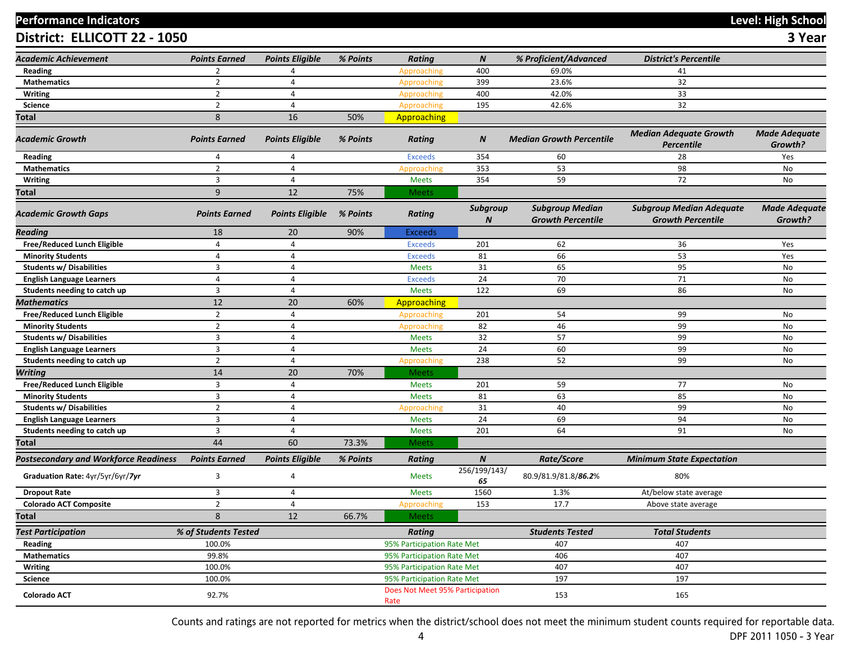# **Performance Indicators Level: High School**

**District: ELLICOTT 22 - 1050 3 Year**

| <b>Academic Achievement</b>                  | <b>Points Earned</b>    | <b>Points Eligible</b> | % Points | <b>Rating</b>                           | $\boldsymbol{N}$   | % Proficient/Advanced                              | <b>District's Percentile</b>                                |                                 |
|----------------------------------------------|-------------------------|------------------------|----------|-----------------------------------------|--------------------|----------------------------------------------------|-------------------------------------------------------------|---------------------------------|
| Reading                                      | $\overline{2}$          | Δ                      |          | Approaching                             | 400                | 69.0%                                              | 41                                                          |                                 |
| <b>Mathematics</b>                           | $\overline{2}$          | $\overline{4}$         |          | Approaching                             | 399                | 23.6%                                              | 32                                                          |                                 |
| Writing                                      | $\overline{2}$          | 4                      |          | Approaching                             | 400                | 42.0%                                              | 33                                                          |                                 |
| <b>Science</b>                               | $\overline{2}$          | 4                      |          | Approaching                             | 195                | 42.6%                                              | 32                                                          |                                 |
| Total                                        | 8                       | 16                     | 50%      | Approaching                             |                    |                                                    |                                                             |                                 |
| Academic Growth                              | <b>Points Earned</b>    | <b>Points Eligible</b> | % Points | <b>Rating</b>                           | N                  | <b>Median Growth Percentile</b>                    | <b>Median Adequate Growth</b><br><b>Percentile</b>          | <b>Made Adequate</b><br>Growth? |
| Reading                                      | $\overline{4}$          | 4                      |          | <b>Exceeds</b>                          | 354                | 60                                                 | 28                                                          | Yes                             |
| <b>Mathematics</b>                           | $\overline{2}$          | 4                      |          | Approaching                             | 353                | 53                                                 | 98                                                          | No                              |
| <b>Writing</b>                               | $\overline{3}$          | 4                      |          | <b>Meets</b>                            | 354                | 59                                                 | 72                                                          | No                              |
| Total                                        | 9                       | 12                     | 75%      | Meets                                   |                    |                                                    |                                                             |                                 |
| <b>Academic Growth Gaps</b>                  | <b>Points Earned</b>    | <b>Points Eligible</b> | % Points | <b>Rating</b>                           | Subgroup<br>N      | <b>Subgroup Median</b><br><b>Growth Percentile</b> | <b>Subgroup Median Adequate</b><br><b>Growth Percentile</b> | <b>Made Adequate</b><br>Growth? |
| <b>Reading</b>                               | 18                      | 20                     | 90%      | Exceeds                                 |                    |                                                    |                                                             |                                 |
| Free/Reduced Lunch Eligible                  | $\overline{4}$          | 4                      |          | <b>Exceeds</b>                          | 201                | 62                                                 | 36                                                          | Yes                             |
| <b>Minority Students</b>                     | $\overline{4}$          | $\overline{4}$         |          | <b>Exceeds</b>                          | 81                 | 66                                                 | 53                                                          | Yes                             |
| <b>Students w/ Disabilities</b>              | $\overline{\mathbf{3}}$ | $\overline{4}$         |          | <b>Meets</b>                            | 31                 | 65                                                 | 95                                                          | No                              |
| <b>English Language Learners</b>             | $\overline{4}$          | 4                      |          | <b>Exceeds</b>                          | 24                 | 70                                                 | 71                                                          | No                              |
| Students needing to catch up                 | $\overline{3}$          | 4                      |          | <b>Meets</b>                            | 122                | 69                                                 | 86                                                          | <b>No</b>                       |
| <b>Mathematics</b>                           | 12                      | 20                     | 60%      | Approaching                             |                    |                                                    |                                                             |                                 |
| Free/Reduced Lunch Eligible                  | $\overline{2}$          | 4                      |          | Approaching                             | 201                | 54                                                 | 99                                                          | No                              |
| <b>Minority Students</b>                     | $\overline{2}$          | 4                      |          | Approaching                             | 82                 | 46                                                 | 99                                                          | No                              |
| <b>Students w/ Disabilities</b>              | $\overline{3}$          | $\overline{4}$         |          | <b>Meets</b>                            | 32                 | 57                                                 | 99                                                          | No                              |
| <b>English Language Learners</b>             | $\overline{\mathbf{3}}$ | 4                      |          | <b>Meets</b>                            | 24                 | 60                                                 | 99                                                          | No                              |
| Students needing to catch up                 | $\overline{2}$          | 4                      |          | Approaching                             | 238                | 52                                                 | 99                                                          | No                              |
| Writing                                      | 14                      | 20                     | 70%      | <b>Meets</b>                            |                    |                                                    |                                                             |                                 |
| Free/Reduced Lunch Eligible                  | $\overline{3}$          | 4                      |          | <b>Meets</b>                            | 201                | 59                                                 | 77                                                          | No                              |
| <b>Minority Students</b>                     | $\overline{\mathbf{3}}$ | $\overline{4}$         |          | <b>Meets</b>                            | 81                 | 63                                                 | 85                                                          | No                              |
| <b>Students w/ Disabilities</b>              | $\overline{2}$          | $\overline{4}$         |          | Approaching                             | 31                 | 40                                                 | 99                                                          | No                              |
| <b>English Language Learners</b>             | $\overline{\mathbf{3}}$ | 4                      |          | <b>Meets</b>                            | 24                 | 69                                                 | 94                                                          | No                              |
| Students needing to catch up                 | 3                       | 4                      |          | <b>Meets</b>                            | 201                | 64                                                 | 91                                                          | No                              |
| Total                                        | 44                      | 60                     | 73.3%    | <b>Meets</b>                            |                    |                                                    |                                                             |                                 |
| <b>Postsecondary and Workforce Readiness</b> | <b>Points Earned</b>    | <b>Points Eligible</b> | % Points | <b>Rating</b>                           | N                  | Rate/Score                                         | <b>Minimum State Expectation</b>                            |                                 |
| Graduation Rate: 4yr/5yr/6yr/7yr             | $\overline{\mathbf{3}}$ | 4                      |          | <b>Meets</b>                            | 256/199/143/<br>65 | 80.9/81.9/81.8/86.2%                               | 80%                                                         |                                 |
| <b>Dropout Rate</b>                          | $\overline{\mathbf{3}}$ | 4                      |          | <b>Meets</b>                            | 1560               | 1.3%                                               | At/below state average                                      |                                 |
| <b>Colorado ACT Composite</b>                | $\overline{2}$          | 4                      |          | Approaching                             | 153                | 17.7                                               | Above state average                                         |                                 |
| Total                                        | 8                       | 12                     | 66.7%    | <b>Meets</b>                            |                    |                                                    |                                                             |                                 |
| <b>Test Participation</b>                    | % of Students Tested    |                        |          | <b>Rating</b>                           |                    | <b>Students Tested</b>                             | <b>Total Students</b>                                       |                                 |
| Reading                                      | 100.0%                  |                        |          | 95% Participation Rate Met              |                    | 407                                                | 407                                                         |                                 |
| <b>Mathematics</b>                           | 99.8%                   |                        |          | 95% Participation Rate Met              |                    | 406                                                | 407                                                         |                                 |
| Writing                                      | 100.0%                  |                        |          | 95% Participation Rate Met              |                    | 407                                                | 407                                                         |                                 |
| Science                                      | 100.0%                  |                        |          | 95% Participation Rate Met              |                    | 197                                                | 197                                                         |                                 |
| <b>Colorado ACT</b>                          | 92.7%                   |                        |          | Does Not Meet 95% Participation<br>Rate |                    | 153                                                | 165                                                         |                                 |

Counts and ratings are not reported for metrics when the district/school does not meet the minimum student counts required for reportable data.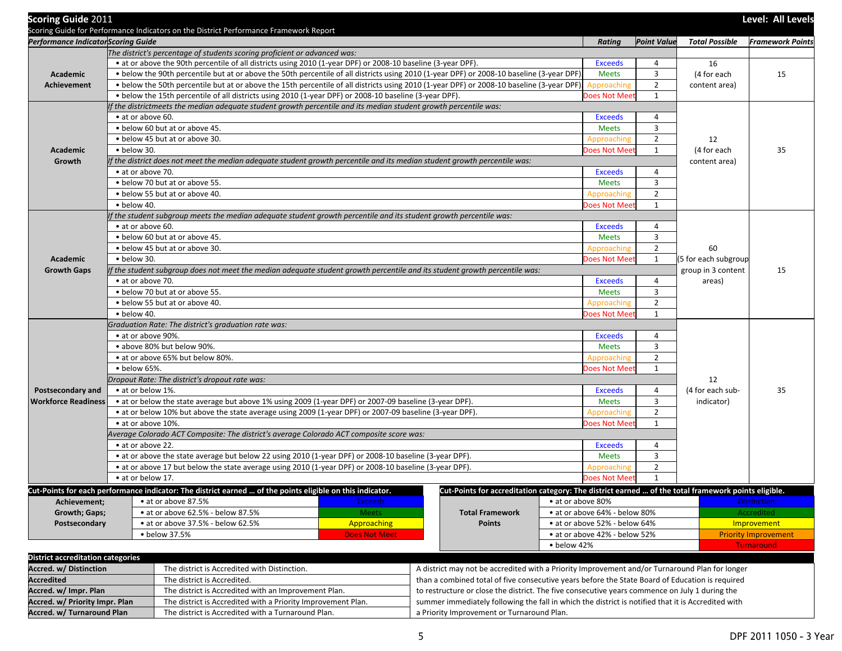| <b>Scoring Guide 2011</b>                | Scoring Guide for Performance Indicators on the District Performance Framework Report                                                      |                                                                                                |                                                                                                    |                               |                    |                       | Level: All Levels           |
|------------------------------------------|--------------------------------------------------------------------------------------------------------------------------------------------|------------------------------------------------------------------------------------------------|----------------------------------------------------------------------------------------------------|-------------------------------|--------------------|-----------------------|-----------------------------|
| Performance Indicator Scoring Guide      |                                                                                                                                            |                                                                                                |                                                                                                    | Rating                        | <b>Point Value</b> | <b>Total Possible</b> | <b>Framework Points</b>     |
|                                          | The district's percentage of students scoring proficient or advanced was:                                                                  |                                                                                                |                                                                                                    |                               |                    |                       |                             |
|                                          | • at or above the 90th percentile of all districts using 2010 (1-year DPF) or 2008-10 baseline (3-year DPF).                               |                                                                                                |                                                                                                    | <b>Exceeds</b>                | 4                  | 16                    |                             |
| Academic                                 | . below the 90th percentile but at or above the 50th percentile of all districts using 2010 (1-year DPF) or 2008-10 baseline (3-year DPF). |                                                                                                |                                                                                                    | <b>Meets</b>                  | 3                  | (4 for each           | 15                          |
| <b>Achievement</b>                       | • below the 50th percentile but at or above the 15th percentile of all districts using 2010 (1-year DPF) or 2008-10 baseline (3-year DPF)  |                                                                                                |                                                                                                    | Approaching                   | $\overline{2}$     | content area)         |                             |
|                                          | • below the 15th percentile of all districts using 2010 (1-year DPF) or 2008-10 baseline (3-year DPF).                                     |                                                                                                |                                                                                                    | Does Not Mee                  | $\mathbf{1}$       |                       |                             |
|                                          | If the districtmeets the median adequate student growth percentile and its median student growth percentile was:                           |                                                                                                |                                                                                                    |                               |                    |                       |                             |
|                                          | • at or above 60.                                                                                                                          |                                                                                                |                                                                                                    | <b>Exceeds</b>                | 4                  |                       |                             |
|                                          | . below 60 but at or above 45.                                                                                                             |                                                                                                |                                                                                                    | <b>Meets</b>                  | $\overline{3}$     |                       |                             |
|                                          | • below 45 but at or above 30.                                                                                                             |                                                                                                |                                                                                                    | Approaching                   | $\overline{2}$     | 12                    |                             |
| Academic                                 | $\bullet$ below 30.                                                                                                                        |                                                                                                |                                                                                                    | Does Not Mee                  | 1                  | (4 for each           | 35                          |
| Growth                                   | If the district does not meet the median adequate student growth percentile and its median student growth percentile was:                  |                                                                                                |                                                                                                    |                               |                    | content area)         |                             |
|                                          | • at or above 70.                                                                                                                          |                                                                                                |                                                                                                    | <b>Exceeds</b>                | $\overline{4}$     |                       |                             |
|                                          | . below 70 but at or above 55.                                                                                                             | <b>Meets</b>                                                                                   | 3                                                                                                  |                               |                    |                       |                             |
|                                          | • below 55 but at or above 40.                                                                                                             | Approaching                                                                                    | $\overline{2}$                                                                                     |                               |                    |                       |                             |
|                                          | · below 40.                                                                                                                                |                                                                                                |                                                                                                    | Does Not Mee                  | $\mathbf{1}$       |                       |                             |
|                                          | If the student subgroup meets the median adequate student growth percentile and its student growth percentile was:                         |                                                                                                |                                                                                                    |                               |                    |                       |                             |
|                                          | • at or above 60.                                                                                                                          |                                                                                                |                                                                                                    | <b>Exceeds</b>                | 4                  |                       |                             |
|                                          | . below 60 but at or above 45.                                                                                                             |                                                                                                |                                                                                                    | <b>Meets</b>                  | 3                  |                       |                             |
|                                          | • below 45 but at or above 30.                                                                                                             | Approaching                                                                                    | $\overline{2}$                                                                                     | 60                            |                    |                       |                             |
| Academic                                 | · below 30.                                                                                                                                | Does Not Mee                                                                                   | 1                                                                                                  | (5 for each subgroup          |                    |                       |                             |
| <b>Growth Gaps</b>                       | If the student subgroup does not meet the median adequate student growth percentile and its student growth percentile was:                 |                                                                                                |                                                                                                    |                               |                    | group in 3 content    | 15                          |
|                                          | • at or above 70.                                                                                                                          |                                                                                                |                                                                                                    | <b>Exceeds</b>                | 4                  | areas)                |                             |
|                                          | . below 70 but at or above 55.                                                                                                             |                                                                                                |                                                                                                    | <b>Meets</b>                  | 3                  |                       |                             |
|                                          | . below 55 but at or above 40.                                                                                                             |                                                                                                |                                                                                                    | Approaching                   | $\overline{2}$     |                       |                             |
|                                          | · below 40.                                                                                                                                |                                                                                                |                                                                                                    | Does Not Mee                  | $\mathbf{1}$       |                       |                             |
|                                          | Graduation Rate: The district's graduation rate was:                                                                                       |                                                                                                |                                                                                                    |                               |                    |                       |                             |
|                                          | • at or above 90%.                                                                                                                         |                                                                                                |                                                                                                    | <b>Exceeds</b>                | 4                  |                       |                             |
|                                          | • above 80% but below 90%.                                                                                                                 |                                                                                                |                                                                                                    | <b>Meets</b>                  | 3                  |                       |                             |
|                                          | • at or above 65% but below 80%.                                                                                                           |                                                                                                |                                                                                                    | Approaching                   | $\overline{2}$     |                       |                             |
|                                          | · below 65%.                                                                                                                               |                                                                                                |                                                                                                    | Does Not Mee                  | $\mathbf{1}$       |                       |                             |
|                                          | Dropout Rate: The district's dropout rate was:                                                                                             |                                                                                                |                                                                                                    |                               |                    | 12                    |                             |
| <b>Postsecondary and</b>                 | • at or below 1%.                                                                                                                          |                                                                                                |                                                                                                    | <b>Exceeds</b>                | 4                  | (4 for each sub-      | 35                          |
| <b>Workforce Readiness</b>               | • at or below the state average but above 1% using 2009 (1-year DPF) or 2007-09 baseline (3-year DPF).                                     |                                                                                                |                                                                                                    | <b>Meets</b>                  | $\overline{3}$     | indicator)            |                             |
|                                          | • at or below 10% but above the state average using 2009 (1-year DPF) or 2007-09 baseline (3-year DPF).                                    |                                                                                                |                                                                                                    | Approaching                   | $\overline{2}$     |                       |                             |
|                                          | • at or above 10%.                                                                                                                         |                                                                                                |                                                                                                    | Does Not Mee                  | 1                  |                       |                             |
|                                          | Average Colorado ACT Composite: The district's average Colorado ACT composite score was:                                                   |                                                                                                |                                                                                                    |                               |                    |                       |                             |
|                                          | • at or above 22.                                                                                                                          |                                                                                                |                                                                                                    | <b>Exceeds</b>                | 4                  |                       |                             |
|                                          | • at or above the state average but below 22 using 2010 (1-year DPF) or 2008-10 baseline (3-year DPF).                                     |                                                                                                |                                                                                                    | <b>Meets</b>                  | 3                  |                       |                             |
|                                          | • at or above 17 but below the state average using 2010 (1-year DPF) or 2008-10 baseline (3-year DPF).                                     |                                                                                                |                                                                                                    | Approaching                   | $\overline{2}$     |                       |                             |
|                                          | · at or below 17.                                                                                                                          |                                                                                                |                                                                                                    | Does Not Mee                  | $\mathbf{1}$       |                       |                             |
|                                          | Cut-Points for each performance indicator: The district earned  of the points eligible on this indicator.                                  |                                                                                                | Cut-Points for accreditation category: The district earned  of the total framework points eligible |                               |                    |                       |                             |
| Achievement;                             | • at or above 87.5%                                                                                                                        | <b>Exceeds</b>                                                                                 |                                                                                                    | • at or above 80%             |                    |                       | <b>Distinction</b>          |
| Growth; Gaps;                            | • at or above 62.5% - below 87.5%                                                                                                          | <b>Meets</b>                                                                                   | <b>Total Framework</b>                                                                             | • at or above 64% - below 80% |                    |                       | Accredited                  |
| Postsecondary                            | • at or above 37.5% - below 62.5%                                                                                                          | Approaching                                                                                    | <b>Points</b>                                                                                      | • at or above 52% - below 64% |                    |                       | Improvement                 |
|                                          | • below 37.5%                                                                                                                              | <b>Does Not Meet</b>                                                                           |                                                                                                    | • at or above 42% - below 52% |                    |                       | <b>Priority Improvement</b> |
|                                          |                                                                                                                                            |                                                                                                |                                                                                                    | • below 42%                   |                    |                       | <b>Turnaround</b>           |
| <b>District accreditation categories</b> |                                                                                                                                            |                                                                                                |                                                                                                    |                               |                    |                       |                             |
| Accred. w/ Distinction                   | The district is Accredited with Distinction.                                                                                               |                                                                                                | A district may not be accredited with a Priority Improvement and/or Turnaround Plan for longer     |                               |                    |                       |                             |
| <b>Accredited</b>                        | The district is Accredited.                                                                                                                |                                                                                                | than a combined total of five consecutive years before the State Board of Education is required    |                               |                    |                       |                             |
| Accred. w/ Impr. Plan                    | The district is Accredited with an Improvement Plan.                                                                                       | to restructure or close the district. The five consecutive years commence on July 1 during the |                                                                                                    |                               |                    |                       |                             |
| Accred. w/ Priority Impr. Plan           | The district is Accredited with a Priority Improvement Plan.                                                                               |                                                                                                | summer immediately following the fall in which the district is notified that it is Accredited with |                               |                    |                       |                             |
| Accred. w/ Turnaround Plan               | The district is Accredited with a Turnaround Plan.<br>a Priority Improvement or Turnaround Plan.                                           |                                                                                                |                                                                                                    |                               |                    |                       |                             |